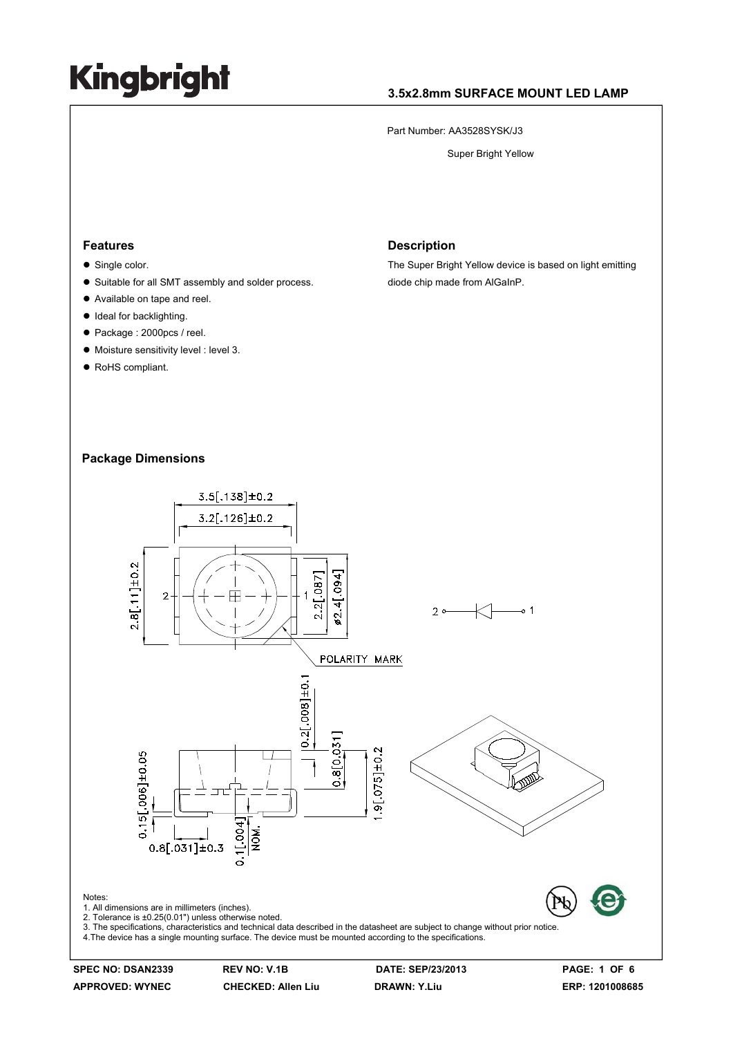### **3.5x2.8mm SURFACE MOUNT LED LAMP**

Part Number: AA3528SYSK/J3

Super Bright Yellow

#### **Features**

- $\bullet$  Single color.
- Suitable for all SMT assembly and solder process.
- Available on tape and reel.
- Ideal for backlighting.
- Package : 2000pcs / reel.
- $\bullet$  Moisture sensitivity level : level 3.
- RoHS compliant.

#### **Description**

The Super Bright Yellow device is based on light emitting diode chip made from AlGaInP.

### **Package Dimensions**



**SPEC NO: DSAN2339 REV NO: V.1B DATE: SEP/23/2013 PAGE: 1 OF 6**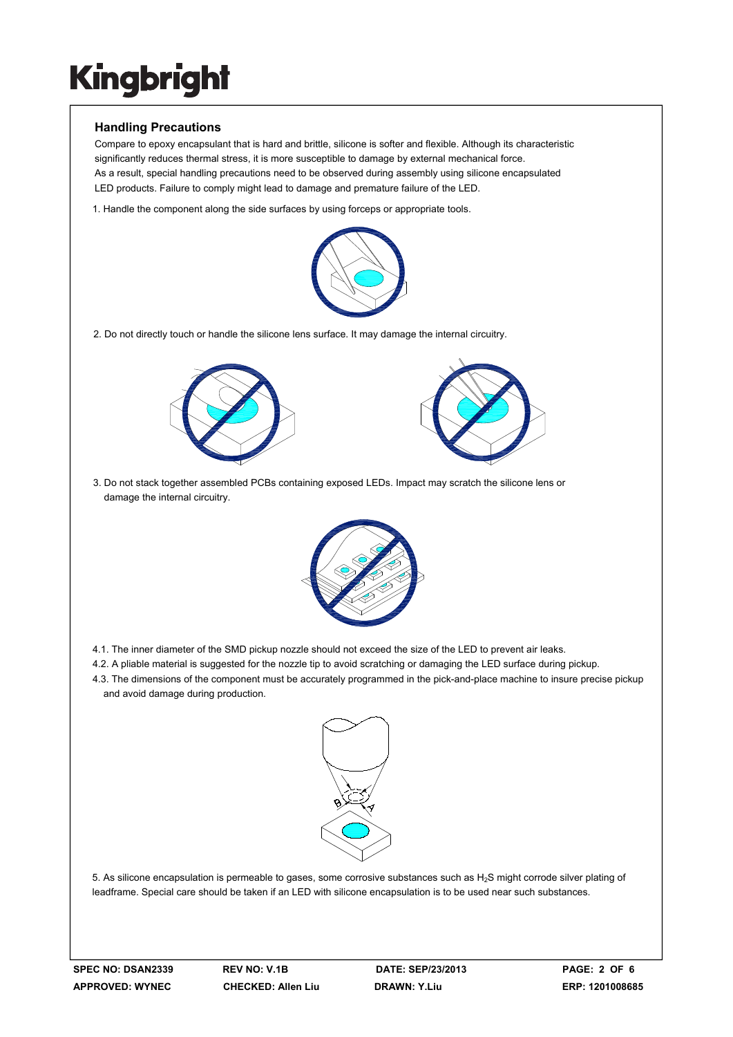### **Handling Precautions**

Compare to epoxy encapsulant that is hard and brittle, silicone is softer and flexible. Although its characteristic significantly reduces thermal stress, it is more susceptible to damage by external mechanical force. As a result, special handling precautions need to be observed during assembly using silicone encapsulated LED products. Failure to comply might lead to damage and premature failure of the LED.

1. Handle the component along the side surfaces by using forceps or appropriate tools.



2. Do not directly touch or handle the silicone lens surface. It may damage the internal circuitry.





3. Do not stack together assembled PCBs containing exposed LEDs. Impact may scratch the silicone lens or damage the internal circuitry.



- 4.1. The inner diameter of the SMD pickup nozzle should not exceed the size of the LED to prevent air leaks.
- 4.2. A pliable material is suggested for the nozzle tip to avoid scratching or damaging the LED surface during pickup.
- 4.3. The dimensions of the component must be accurately programmed in the pick-and-place machine to insure precise pickup and avoid damage during production.



5. As silicone encapsulation is permeable to gases, some corrosive substances such as  $H_2S$  might corrode silver plating of leadframe. Special care should be taken if an LED with silicone encapsulation is to be used near such substances.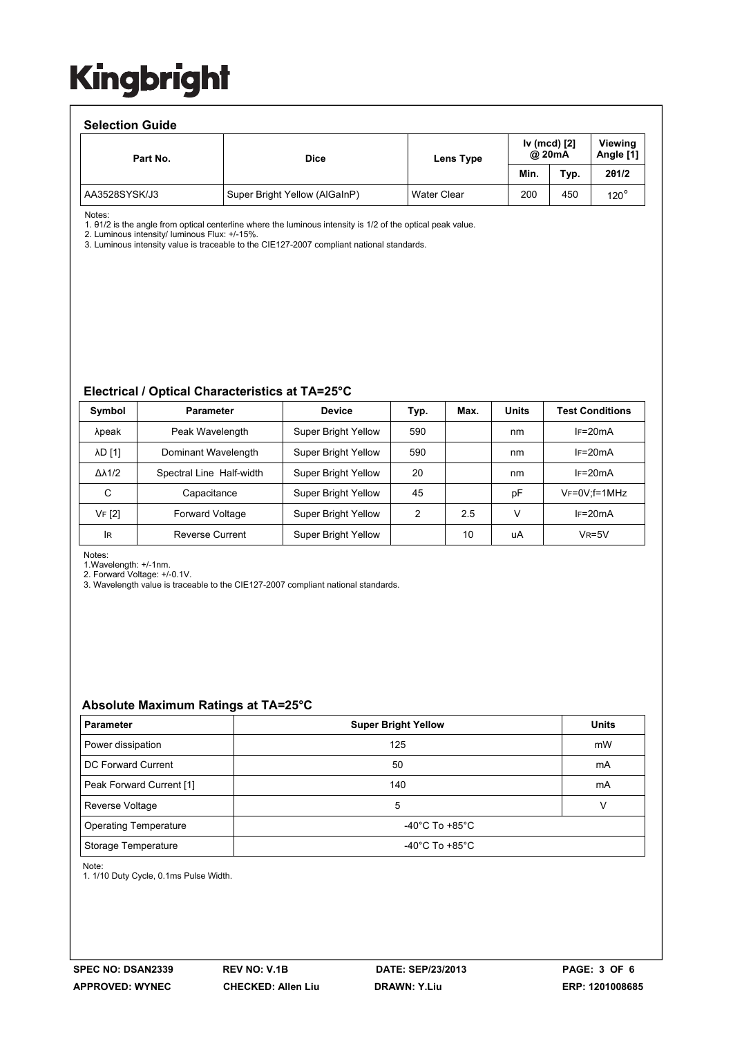#### **Selection Guide**

| <u>sonovu vii vaidu</u> |                               |                                     |      |      |                      |  |  |  |  |
|-------------------------|-------------------------------|-------------------------------------|------|------|----------------------|--|--|--|--|
| Part No.                | <b>Dice</b>                   | Iv (mcd) [2]<br>@ 20mA<br>Lens Type |      |      | Viewina<br>Angle [1] |  |  |  |  |
|                         |                               |                                     | Min. | Typ. | 201/2                |  |  |  |  |
| AA3528SYSK/J3           | Super Bright Yellow (AlGaInP) | <b>Water Clear</b>                  | 200  | 450  | $120^\circ$          |  |  |  |  |

Notes:

1. θ1/2 is the angle from optical centerline where the luminous intensity is 1/2 of the optical peak value.

2. Luminous intensity/ luminous Flux: +/-15%.

3. Luminous intensity value is traceable to the CIE127-2007 compliant national standards.

#### **Electrical / Optical Characteristics at TA=25°C**

| Symbol              | <b>Parameter</b>         | <b>Device</b>              | Typ. | Max. | <b>Units</b> | <b>Test Conditions</b> |
|---------------------|--------------------------|----------------------------|------|------|--------------|------------------------|
| λpeak               | Peak Wavelength          | <b>Super Bright Yellow</b> | 590  |      | nm           | $IF=20mA$              |
| <b>AD [1]</b>       | Dominant Wavelength      | <b>Super Bright Yellow</b> | 590  |      | nm           | $IF=20mA$              |
| $\Delta\lambda$ 1/2 | Spectral Line Half-width | <b>Super Bright Yellow</b> | 20   |      | nm           | $IF=20mA$              |
| C                   | Capacitance              | <b>Super Bright Yellow</b> | 45   |      | рF           | $V_F = 0V$ ; f=1MHz    |
| VF [2]              | <b>Forward Voltage</b>   | <b>Super Bright Yellow</b> | 2    | 2.5  | $\vee$       | $IF=20mA$              |
| <b>IR</b>           | <b>Reverse Current</b>   | <b>Super Bright Yellow</b> |      | 10   | uA           | $V_R = 5V$             |

Notes:

1.Wavelength: +/-1nm.

2. Forward Voltage: +/-0.1V.

3. Wavelength value is traceable to the CIE127-2007 compliant national standards.

#### **Absolute Maximum Ratings at TA=25°C**

| <b>Parameter</b>             | <b>Super Bright Yellow</b>           | <b>Units</b> |  |
|------------------------------|--------------------------------------|--------------|--|
| Power dissipation            | 125                                  | mW           |  |
| DC Forward Current           | 50                                   | mA           |  |
| Peak Forward Current [1]     | 140                                  | mA           |  |
| Reverse Voltage              | 5                                    |              |  |
| <b>Operating Temperature</b> | -40 $^{\circ}$ C To +85 $^{\circ}$ C |              |  |
| Storage Temperature          | -40 $^{\circ}$ C To +85 $^{\circ}$ C |              |  |

Note:

1. 1/10 Duty Cycle, 0.1ms Pulse Width.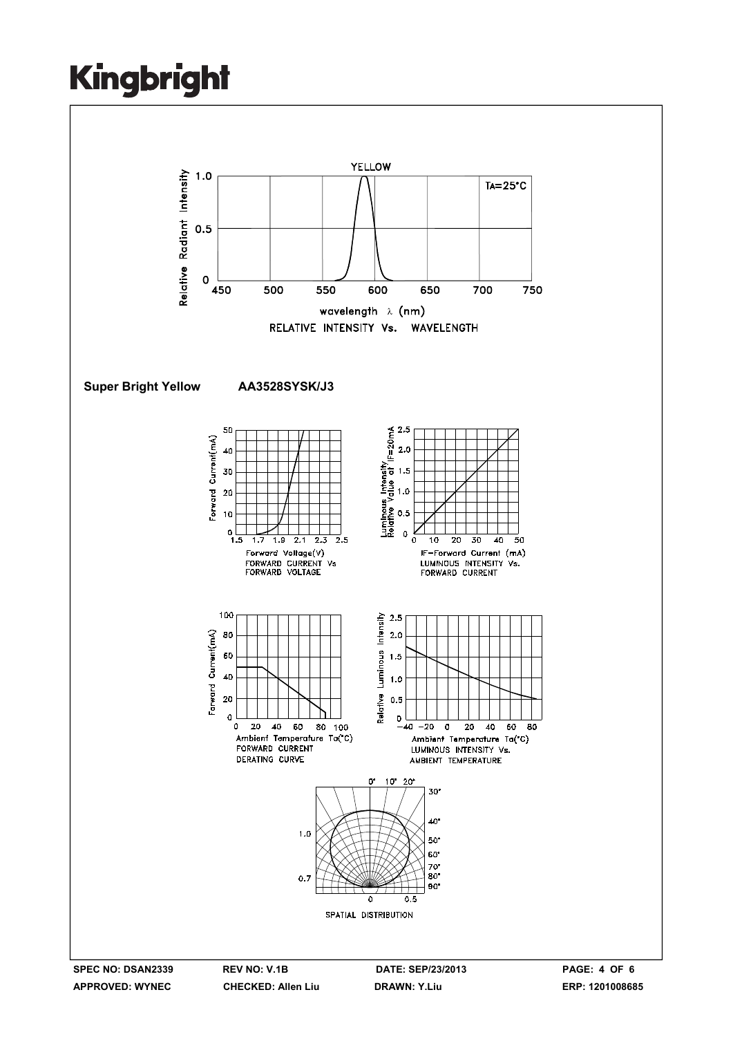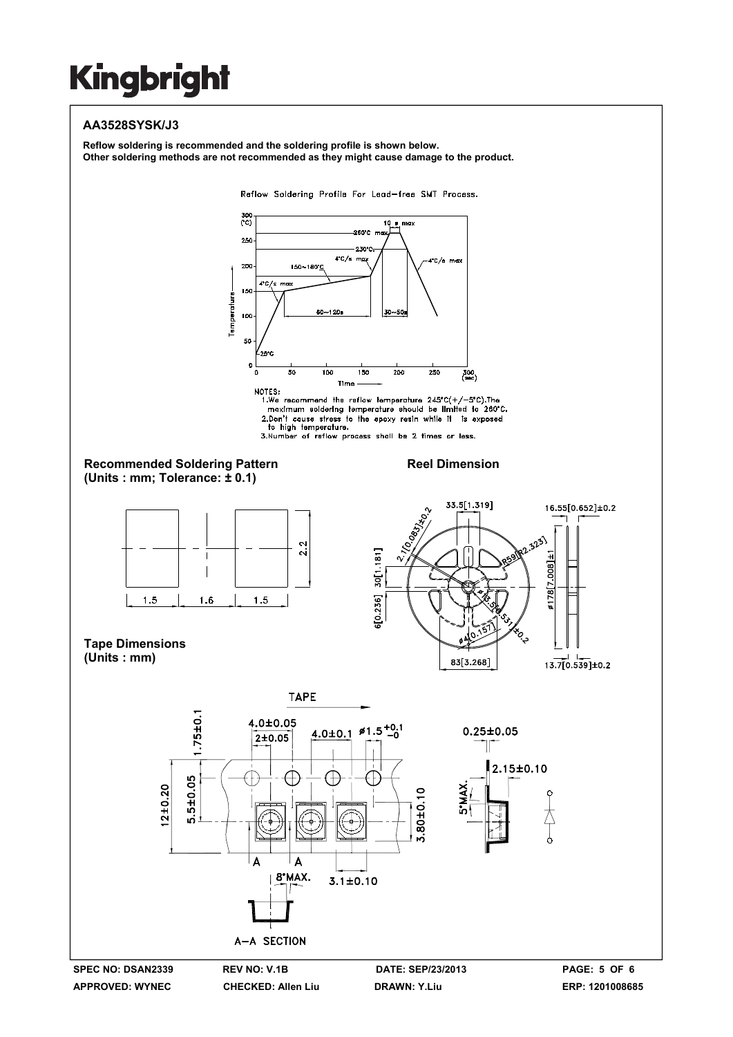## **AA3528SYSK/J3**

**Reflow soldering is recommended and the soldering profile is shown below. Other soldering methods are not recommended as they might cause damage to the product.**